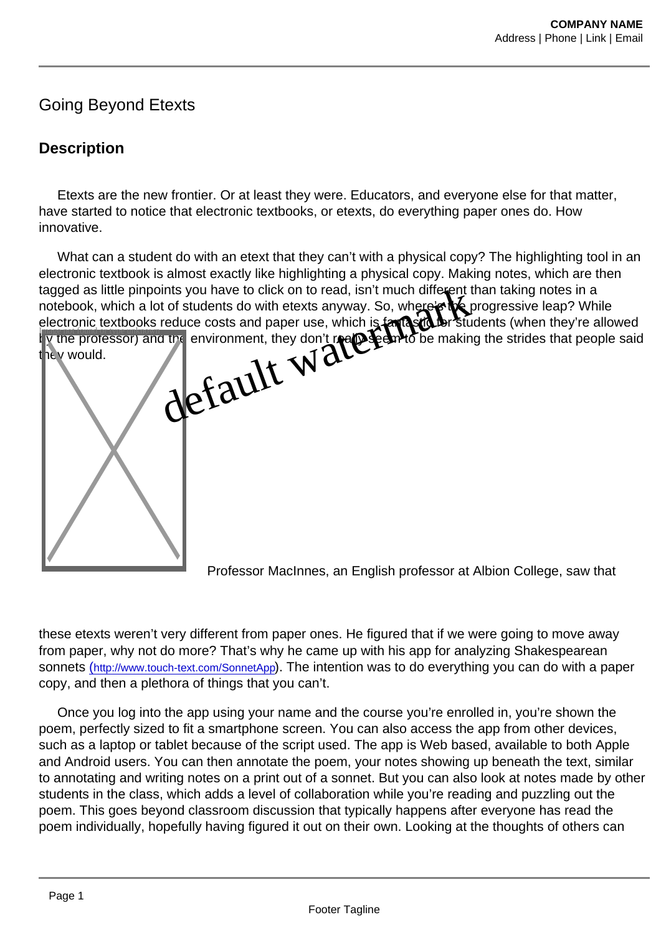## Going Beyond Etexts

## **Description**

 Etexts are the new frontier. Or at least they were. Educators, and everyone else for that matter, have started to notice that electronic textbooks, or etexts, do everything paper ones do. How innovative.

 What can a student do with an etext that they can't with a physical copy? The highlighting tool in an electronic textbook is almost exactly like highlighting a physical copy. Making notes, which are then tagged as little pinpoints you have to click on to read, isn't much different than taking notes in a notebook, which a lot of students do with etexts anyway. So, where's the progressive leap? While electronic textbooks reduce costs and paper use, which is fantastic for students (when they're allowed by the professor) and the environment, they don't really seem to be making the strides that people said they would. Image not found or type unknown of the figure of the figure and the property was [de](http://campus.albion.edu/gcox/files/2014/04/Screenshot_2014-04-01-12-27-33.png)fined to the state of the state of the state of the state of the state of the state of the state of the state of the state of the state of the state of the state of the st

Professor MacInnes, an English professor at Albion College, saw that

these etexts weren't very different from paper ones. He figured that if we were going to move away from paper, why not do more? That's why he came up with his app for analyzing Shakespearean sonnets (<http://www.touch-text.com/SonnetApp>). The intention was to do everything you can do with a paper copy, and then a plethora of things that you can't.

 Once you log into the app using your name and the course you're enrolled in, you're shown the poem, perfectly sized to fit a smartphone screen. You can also access the app from other devices, such as a laptop or tablet because of the script used. The app is Web based, available to both Apple and Android users. You can then annotate the poem, your notes showing up beneath the text, similar to annotating and writing notes on a print out of a sonnet. But you can also look at notes made by other students in the class, which adds a level of collaboration while you're reading and puzzling out the poem. This goes beyond classroom discussion that typically happens after everyone has read the poem individually, hopefully having figured it out on their own. Looking at the thoughts of others can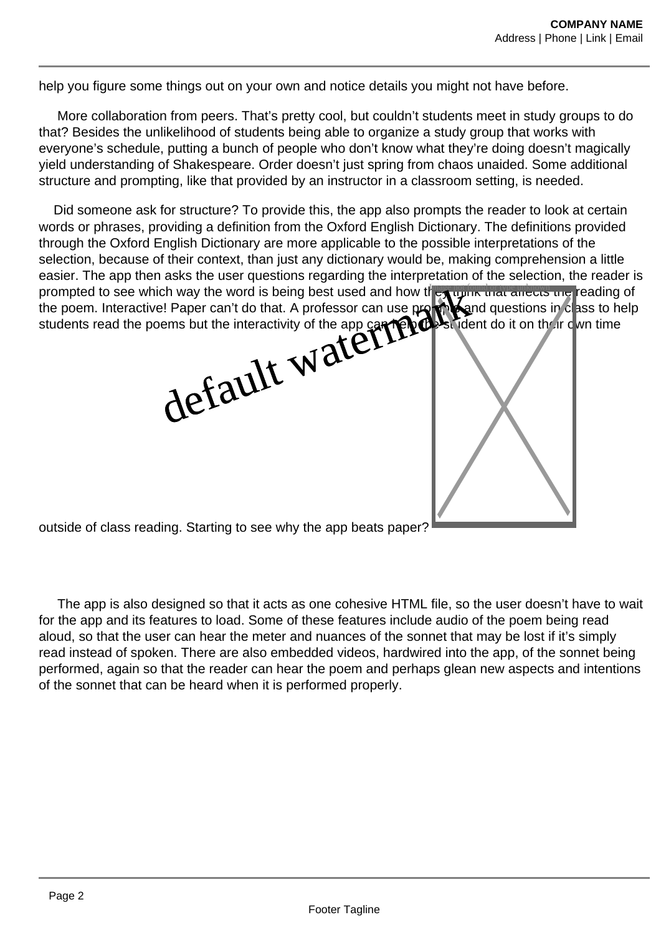help you figure some things out on your own and notice details you might not have before.

 More collaboration from peers. That's pretty cool, but couldn't students meet in study groups to do that? Besides the unlikelihood of students being able to organize a study group that works with everyone's schedule, putting a bunch of people who don't know what they're doing doesn't magically yield understanding of Shakespeare. Order doesn't just spring from chaos unaided. Some additional structure and prompting, like that provided by an instructor in a classroom setting, is needed.

 Did someone ask for structure? To provide this, the app also prompts the reader to look at certain words or phrases, providing a definition from the Oxford English Dictionary. The definitions provided through the Oxford English Dictionary are more applicable to the possible interpretations of the selection, because of their context, than just any dictionary would be, making comprehension a little easier. The app then asks the user questions regarding the interpretation of the selection, the reader is prompted to see which way the word is being best used and how they that affects the reading of the poem. Interactive! Paper can't do that. A professor can use prompt and questions in class to help<br>students read the poems but the interactivity of the app can help in student do it on their cwn time students read the poems but the interactivity of the app can help the student do it on their own time PERDIT MERCHAND



outside of class reading. Starting to see why the app beats paper?

 The app is also designed so that it acts as one cohesive HTML file, so the user doesn't have to wait for the app and its features to load. Some of these features include audio of the poem being read aloud, so that the user can hear the meter and nuances of the sonnet that may be lost if it's simply read instead of spoken. There are also embedded videos, hardwired into the app, of the sonnet being performed, again so that the reader can hear the poem and perhaps glean new aspects and intentions of the sonnet that can be heard when it is performed properly.